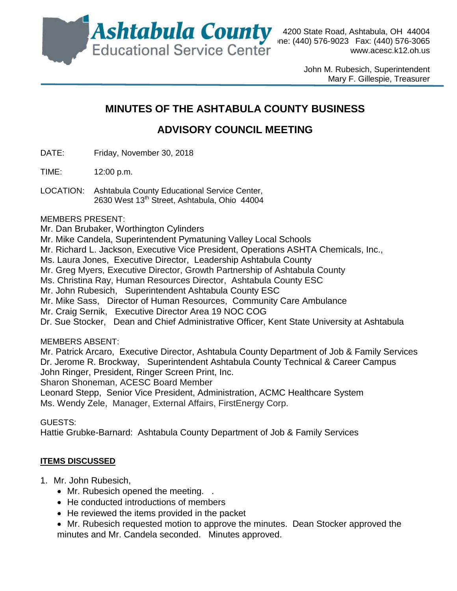

4200 State Road, Ashtabula, OH 44004 [www.acesc.k12.oh.us](http://www.acesc.k12.oh.us/)

> John M. Rubesich, Superintendent Mary F. Gillespie, Treasurer

# **MINUTES OF THE ASHTABULA COUNTY BUSINESS**

# **ADVISORY COUNCIL MEETING**

DATE: Friday, November 30, 2018

TIME: 12:00 p.m.

LOCATION: Ashtabula County Educational Service Center, 2630 West 13<sup>th</sup> Street, Ashtabula, Ohio 44004

MEMBERS PRESENT:

Mr. Dan Brubaker, Worthington Cylinders

Mr. Mike Candela, Superintendent Pymatuning Valley Local Schools

Mr. Richard L. Jackson, Executive Vice President, Operations ASHTA Chemicals, Inc.,

Ms. Laura Jones, Executive Director, Leadership Ashtabula County

Mr. Greg Myers, Executive Director, Growth Partnership of Ashtabula County

Ms. Christina Ray, Human Resources Director, Ashtabula County ESC

Mr. John Rubesich, Superintendent Ashtabula County ESC

Mr. Mike Sass, Director of Human Resources, Community Care Ambulance

Mr. Craig Sernik, Executive Director Area 19 NOC COG

Dr. Sue Stocker, Dean and Chief Administrative Officer, Kent State University at Ashtabula

MEMBERS ABSENT:

Mr. Patrick Arcaro, Executive Director, Ashtabula County Department of Job & Family Services Dr. Jerome R. Brockway, Superintendent Ashtabula County Technical & Career Campus John Ringer, President, Ringer Screen Print, Inc.

Sharon Shoneman, ACESC Board Member

Leonard Stepp, Senior Vice President, Administration, ACMC Healthcare System Ms. Wendy Zele, Manager, External Affairs, FirstEnergy Corp.

GUESTS:

Hattie Grubke-Barnard: Ashtabula County Department of Job & Family Services

### **ITEMS DISCUSSED**

- 1. Mr. John Rubesich,
	- Mr. Rubesich opened the meeting. .
	- He conducted introductions of members
	- He reviewed the items provided in the packet

 Mr. Rubesich requested motion to approve the minutes. Dean Stocker approved the minutes and Mr. Candela seconded. Minutes approved.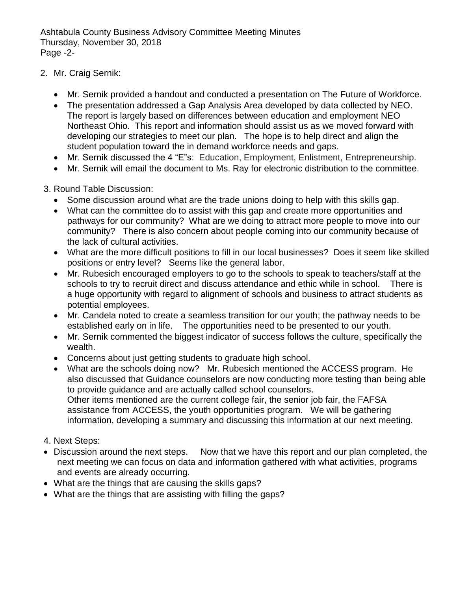Ashtabula County Business Advisory Committee Meeting Minutes Thursday, November 30, 2018 Page -2-

- 2. Mr. Craig Sernik:
	- Mr. Sernik provided a handout and conducted a presentation on The Future of Workforce.
	- The presentation addressed a Gap Analysis Area developed by data collected by NEO. The report is largely based on differences between education and employment NEO Northeast Ohio. This report and information should assist us as we moved forward with developing our strategies to meet our plan. The hope is to help direct and align the student population toward the in demand workforce needs and gaps.
	- Mr. Sernik discussed the 4 "E"s: Education, Employment, Enlistment, Entrepreneurship.
	- Mr. Sernik will email the document to Ms. Ray for electronic distribution to the committee.
- 3. Round Table Discussion:
	- Some discussion around what are the trade unions doing to help with this skills gap.
	- What can the committee do to assist with this gap and create more opportunities and pathways for our community? What are we doing to attract more people to move into our community? There is also concern about people coming into our community because of the lack of cultural activities.
	- What are the more difficult positions to fill in our local businesses? Does it seem like skilled positions or entry level? Seems like the general labor.
	- Mr. Rubesich encouraged employers to go to the schools to speak to teachers/staff at the schools to try to recruit direct and discuss attendance and ethic while in school. There is a huge opportunity with regard to alignment of schools and business to attract students as potential employees.
	- Mr. Candela noted to create a seamless transition for our youth; the pathway needs to be established early on in life. The opportunities need to be presented to our youth.
	- Mr. Sernik commented the biggest indicator of success follows the culture, specifically the wealth.
	- Concerns about just getting students to graduate high school.
	- What are the schools doing now? Mr. Rubesich mentioned the ACCESS program. He also discussed that Guidance counselors are now conducting more testing than being able to provide guidance and are actually called school counselors. Other items mentioned are the current college fair, the senior job fair, the FAFSA assistance from ACCESS, the youth opportunities program. We will be gathering information, developing a summary and discussing this information at our next meeting.
- 4. Next Steps:
- Discussion around the next steps. Now that we have this report and our plan completed, the next meeting we can focus on data and information gathered with what activities, programs and events are already occurring.
- What are the things that are causing the skills gaps?
- What are the things that are assisting with filling the gaps?